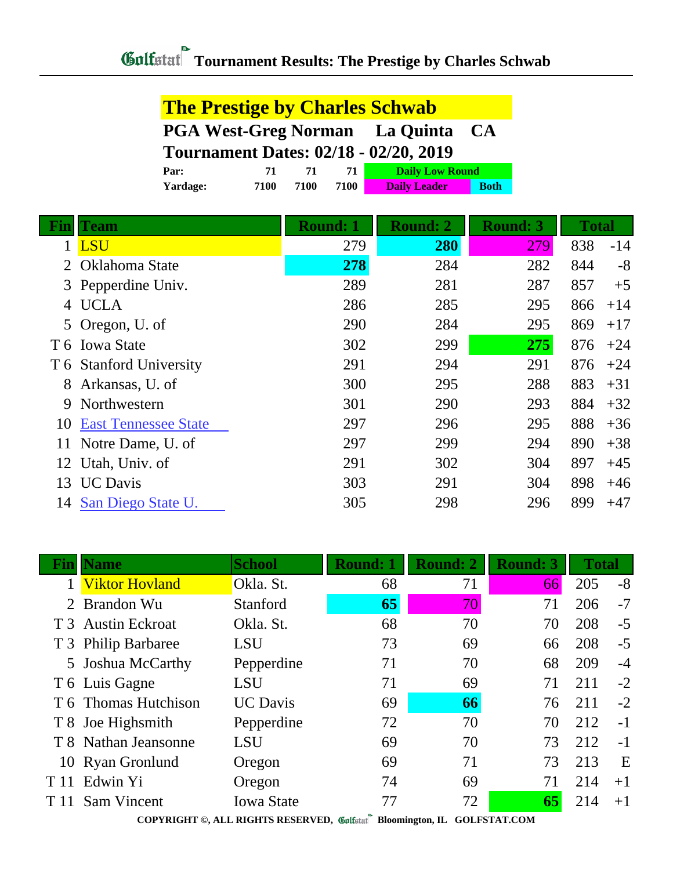| <b>The Prestige by Charles Schwab</b> |    |    |    |                                              |  |
|---------------------------------------|----|----|----|----------------------------------------------|--|
|                                       |    |    |    | <b>PGA West-Greg Norman</b> La Quinta CA     |  |
|                                       |    |    |    |                                              |  |
|                                       |    |    |    | <b>Tournament Dates: 02/18 - 02/20, 2019</b> |  |
| Par:                                  | 71 | 71 | 71 | <b>Daily Low Round</b>                       |  |

|                       | Team                        | <b>Round: 1</b> | <b>Round: 2</b> | <b>Round: 3</b> | <b>Total</b> |       |
|-----------------------|-----------------------------|-----------------|-----------------|-----------------|--------------|-------|
|                       | 1 LSU                       | 279             | 280             | 279             | 838          | $-14$ |
| $\mathcal{D}_{\cdot}$ | Oklahoma State              | 278             | 284             | 282             | 844          | $-8$  |
|                       | 3 Pepperdine Univ.          | 289             | 281             | 287             | 857          | $+5$  |
| 4                     | <b>UCLA</b>                 | 286             | 285             | 295             | 866          | $+14$ |
|                       | 5 Oregon, U. of             | 290             | 284             | 295             | 869          | $+17$ |
|                       | T 6 Iowa State              | 302             | 299             | 275             | 876          | $+24$ |
|                       | T 6 Stanford University     | 291             | 294             | 291             | 876          | $+24$ |
| 8                     | Arkansas, U. of             | 300             | 295             | 288             | 883          | $+31$ |
| 9                     | Northwestern                | 301             | 290             | 293             | 884          | $+32$ |
| 10                    | <b>East Tennessee State</b> | 297             | 296             | 295             | 888          | $+36$ |
|                       | Notre Dame, U. of           | 297             | 299             | 294             | 890          | $+38$ |
| 12                    | Utah, Univ. of              | 291             | 302             | 304             | 897          | $+45$ |
| 13                    | <b>UC</b> Davis             | 303             | 291             | 304             | 898          | $+46$ |
| 14                    | San Diego State U.          | 305             | 298             | 296             | 899          | $+47$ |

|      | <b>Name</b>           | <b>School</b>     | <b>Round: 1</b> | <b>Round: 2</b> | <b>Round: 3</b> | <b>Total</b> |      |
|------|-----------------------|-------------------|-----------------|-----------------|-----------------|--------------|------|
|      | <b>Viktor Hovland</b> | Okla. St.         | 68              | 71              | 66              | 205          | $-8$ |
| 2    | <b>Brandon Wu</b>     | Stanford          | 65              | 70              | 71              | 206          | $-7$ |
|      | T 3 Austin Eckroat    | Okla. St.         | 68              | 70              | 70              | 208          | $-5$ |
|      | T 3 Philip Barbaree   | <b>LSU</b>        | 73              | 69              | 66              | 208          | $-5$ |
|      | 5 Joshua McCarthy     | Pepperdine        | 71              | 70              | 68              | 209          | $-4$ |
|      | T 6 Luis Gagne        | LSU               | 71              | 69              | 71              | 211          | $-2$ |
|      | T 6 Thomas Hutchison  | <b>UC</b> Davis   | 69              | 66              | 76              | 211          | $-2$ |
|      | T 8 Joe Highsmith     | Pepperdine        | 72              | 70              | 70              | 212          | $-1$ |
|      | T 8 Nathan Jeansonne  | <b>LSU</b>        | 69              | 70              | 73              | 212          | $-1$ |
|      | 10 Ryan Gronlund      | Oregon            | 69              | 71              | 73              | 213          | E    |
| T 11 | Edwin Yi              | Oregon            | 74              | 69              | 71              | 214          | $+1$ |
|      | T 11 Sam Vincent      | <b>Iowa State</b> | 77              | 72              | 65              | 214          | $+1$ |

**COPYRIGHT ©, ALL RIGHTS RESERVED, Bloomington, IL GOLFSTAT.COM**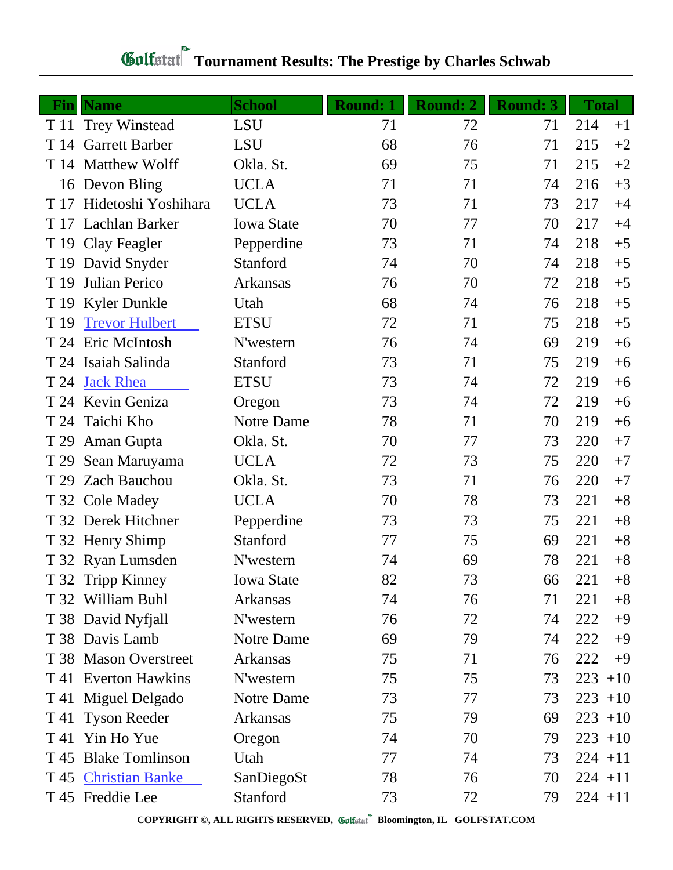| Fin  | <b>Name</b>           | <b>School</b>     | <b>Round: 1</b> | <b>Round: 2</b> | <b>Round: 3</b> | <b>Total</b> |
|------|-----------------------|-------------------|-----------------|-----------------|-----------------|--------------|
|      | T 11 Trey Winstead    | <b>LSU</b>        | 71              | 72              | 71              | 214<br>$+1$  |
|      | T 14 Garrett Barber   | <b>LSU</b>        | 68              | 76              | 71              | 215<br>$+2$  |
|      | T 14 Matthew Wolff    | Okla. St.         | 69              | 75              | 71              | 215<br>$+2$  |
|      | 16 Devon Bling        | <b>UCLA</b>       | 71              | 71              | 74              | 216<br>$+3$  |
| T 17 | Hidetoshi Yoshihara   | <b>UCLA</b>       | 73              | 71              | 73              | 217<br>$+4$  |
|      | T 17 Lachlan Barker   | <b>Iowa State</b> | 70              | 77              | 70              | 217<br>$+4$  |
|      | T 19 Clay Feagler     | Pepperdine        | 73              | 71              | 74              | 218<br>$+5$  |
|      | T 19 David Snyder     | Stanford          | 74              | 70              | 74              | 218<br>$+5$  |
| T 19 | Julian Perico         | Arkansas          | 76              | 70              | 72              | 218<br>$+5$  |
|      | T 19 Kyler Dunkle     | Utah              | 68              | 74              | 76              | 218<br>$+5$  |
| T 19 | <b>Trevor Hulbert</b> | <b>ETSU</b>       | 72              | 71              | 75              | 218<br>$+5$  |
|      | T 24 Eric McIntosh    | N'western         | 76              | 74              | 69              | 219<br>$+6$  |
|      | T 24 Isaiah Salinda   | Stanford          | 73              | 71              | 75              | 219<br>$+6$  |
| T 24 | <b>Jack Rhea</b>      | <b>ETSU</b>       | 73              | 74              | 72              | 219<br>$+6$  |
|      | T 24 Kevin Geniza     | Oregon            | 73              | 74              | 72              | 219<br>$+6$  |
| T 24 | Taichi Kho            | Notre Dame        | 78              | 71              | 70              | 219<br>$+6$  |
| T 29 | Aman Gupta            | Okla. St.         | 70              | 77              | 73              | 220<br>$+7$  |
| T 29 | Sean Maruyama         | <b>UCLA</b>       | 72              | 73              | 75              | 220<br>$+7$  |
| T 29 | <b>Zach Bauchou</b>   | Okla. St.         | 73              | 71              | 76              | 220<br>$+7$  |
|      | T 32 Cole Madey       | <b>UCLA</b>       | 70              | 78              | 73              | $+8$<br>221  |
|      | T 32 Derek Hitchner   | Pepperdine        | 73              | 73              | 75              | 221<br>$+8$  |
|      | T 32 Henry Shimp      | Stanford          | 77              | 75              | 69              | 221<br>$+8$  |
|      | T 32 Ryan Lumsden     | N'western         | 74              | 69              | 78              | 221<br>$+8$  |
|      | T 32 Tripp Kinney     | <b>Iowa State</b> | 82              | 73              | 66              | 221<br>$+8$  |
|      | T 32 William Buhl     | Arkansas          | 74              | 76              | 71              | 221<br>$+8$  |
|      | T 38 David Nyfjall    | N'western         | 76              | 72              | 74              | 222<br>$+9$  |
|      | T 38 Davis Lamb       | Notre Dame        | 69              | 79              | 74              | 222<br>$+9$  |
|      | T 38 Mason Overstreet | Arkansas          | 75              | 71              | 76              | 222<br>$+9$  |
|      | T 41 Everton Hawkins  | N'western         | 75              | 75              | 73              | 223<br>$+10$ |
|      | T 41 Miguel Delgado   | Notre Dame        | 73              | 77              | 73              | $223 + 10$   |
|      | T 41 Tyson Reeder     | Arkansas          | 75              | 79              | 69              | $223 + 10$   |
| T 41 | Yin Ho Yue            | Oregon            | 74              | 70              | 79              | $223 + 10$   |
|      | T 45 Blake Tomlinson  | Utah              | 77              | 74              | 73              | $224 + 11$   |
|      | T 45 Christian Banke  | SanDiegoSt        | 78              | 76              | 70              | $224 + 11$   |
|      | T 45 Freddie Lee      | Stanford          | 73              | 72              | 79              | $224 + 11$   |

**COPYRIGHT ©, ALL RIGHTS RESERVED, Bloomington, IL GOLFSTAT.COM**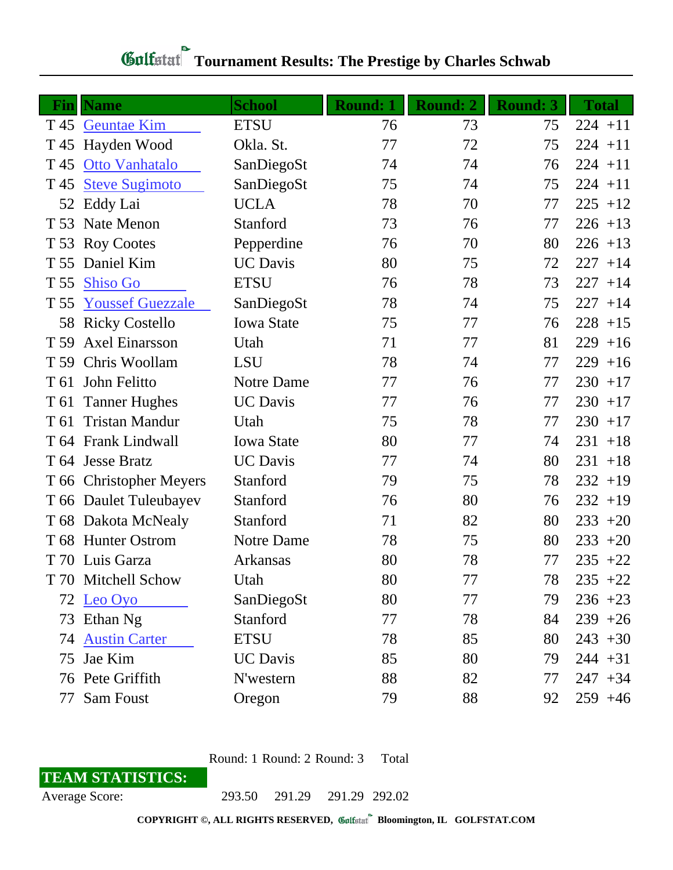| Fin  | <b>Name</b>             | <b>School</b>     | <b>Round: 1</b> | <b>Round: 2</b> | <b>Round: 3</b> | <b>Total</b> |
|------|-------------------------|-------------------|-----------------|-----------------|-----------------|--------------|
| T 45 | <b>Geuntae Kim</b>      | <b>ETSU</b>       | 76              | 73              | 75              | $224 + 11$   |
| T 45 | Hayden Wood             | Okla. St.         | 77              | 72              | 75              | $224 + 11$   |
| T 45 | Otto Vanhatalo          | SanDiegoSt        | 74              | 74              | 76              | $224 + 11$   |
| T 45 | <b>Steve Sugimoto</b>   | SanDiegoSt        | 75              | 74              | 75              | $224 + 11$   |
| 52   | Eddy Lai                | <b>UCLA</b>       | 78              | 70              | 77              | $225 + 12$   |
|      | T 53 Nate Menon         | Stanford          | 73              | 76              | 77              | $226 + 13$   |
| T 53 | <b>Roy Cootes</b>       | Pepperdine        | 76              | 70              | 80              | $226 + 13$   |
|      | T 55 Daniel Kim         | <b>UC</b> Davis   | 80              | 75              | 72              | $227 + 14$   |
| T 55 | <b>Shiso Go</b>         | <b>ETSU</b>       | 76              | 78              | 73              | $227 + 14$   |
| T 55 | <b>Youssef Guezzale</b> | SanDiegoSt        | 78              | 74              | 75              | $227 + 14$   |
| 58   | <b>Ricky Costello</b>   | <b>Iowa State</b> | 75              | 77              | 76              | $228 + 15$   |
| T 59 | <b>Axel Einarsson</b>   | Utah              | 71              | 77              | 81              | $229 + 16$   |
| T 59 | Chris Woollam           | <b>LSU</b>        | 78              | 74              | 77              | $229 + 16$   |
| T 61 | John Felitto            | Notre Dame        | 77              | 76              | 77              | $230 + 17$   |
| T 61 | <b>Tanner Hughes</b>    | <b>UC</b> Davis   | 77              | 76              | 77              | $230 + 17$   |
| T 61 | <b>Tristan Mandur</b>   | Utah              | 75              | 78              | 77              | $230 + 17$   |
|      | T 64 Frank Lindwall     | <b>Iowa State</b> | 80              | 77              | 74              | $231 + 18$   |
|      | T 64 Jesse Bratz        | <b>UC</b> Davis   | 77              | 74              | 80              | $231 + 18$   |
|      | T 66 Christopher Meyers | Stanford          | 79              | 75              | 78              | $232 + 19$   |
|      | T 66 Daulet Tuleubayev  | Stanford          | 76              | 80              | 76              | $232 + 19$   |
|      | T 68 Dakota McNealy     | Stanford          | 71              | 82              | 80              | $233 + 20$   |
|      | T 68 Hunter Ostrom      | Notre Dame        | 78              | 75              | 80              | $233 + 20$   |
|      | T 70 Luis Garza         | Arkansas          | 80              | 78              | 77              | $235 +22$    |
|      | T 70 Mitchell Schow     | Utah              | 80              | 77              | 78              | $235 +22$    |
|      | 72 Leo Oyo              | SanDiegoSt        | 80              | 77              | 79              | $236 + 23$   |
| 73   | Ethan Ng                | Stanford          | 77              | 78              | 84              | $239 + 26$   |
| 74   | <b>Austin Carter</b>    | <b>ETSU</b>       | 78              | 85              | 80              | $243 + 30$   |
| 75   | Jae Kim                 | <b>UC</b> Davis   | 85              | 80              | 79              | $244 + 31$   |
|      | 76 Pete Griffith        | N'western         | 88              | 82              | 77              | $247 + 34$   |
| 77   | Sam Foust               | Oregon            | 79              | 88              | 92              | $259 + 46$   |

## *Gulfatat* Tournament Results: The Prestige by Charles Schwab

Round: 1 Round: 2 Round: 3 Total

## **TEAM STATISTICS:**

Average Score: 293.50 291.29 291.29 292.02

**COPYRIGHT ©, ALL RIGHTS RESERVED, Bloomington, IL GOLFSTAT.COM**